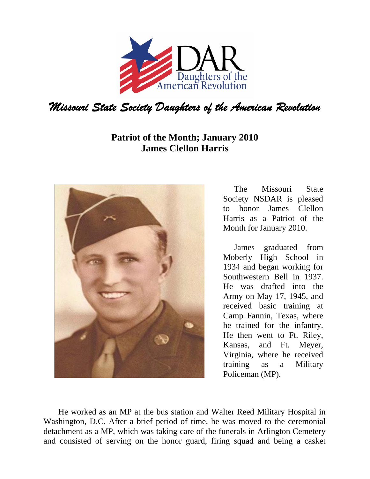

## **Patriot of the Month; January 2010 James Clellon Harris**



The Missouri State Society NSDAR is pleased to honor James Clellon Harris as a Patriot of the Month for January 2010.

James graduated from Moberly High School in 1934 and began working for Southwestern Bell in 1937. He was drafted into the Army on May 17, 1945, and received basic training at Camp Fannin, Texas, where he trained for the infantry. He then went to Ft. Riley, Kansas, and Ft. Meyer, Virginia, where he received training as a Military Policeman (MP).

 He worked as an MP at the bus station and Walter Reed Military Hospital in Washington, D.C. After a brief period of time, he was moved to the ceremonial detachment as a MP, which was taking care of the funerals in Arlington Cemetery and consisted of serving on the honor guard, firing squad and being a casket